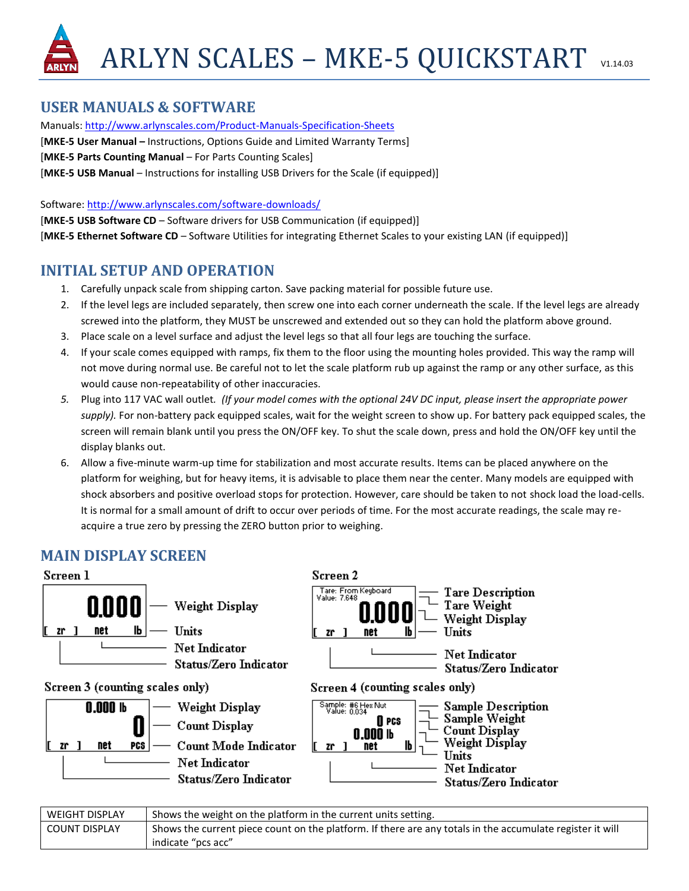# **USER MANUALS & SOFTWARE**

Manuals:<http://www.arlynscales.com/Product-Manuals-Specification-Sheets> [**MKE-5 User Manual –** Instructions, Options Guide and Limited Warranty Terms] [**MKE-5 Parts Counting Manual** – For Parts Counting Scales] [**MKE-5 USB Manual** – Instructions for installing USB Drivers for the Scale (if equipped)]

Software[: http://www.arlynscales.com/software-downloads/](http://www.arlynscales.com/software-downloads/)

[**MKE-5 USB Software CD** – Software drivers for USB Communication (if equipped)] [**MKE-5 Ethernet Software CD** – Software Utilities for integrating Ethernet Scales to your existing LAN (if equipped)]

## **INITIAL SETUP AND OPERATION**

- 1. Carefully unpack scale from shipping carton. Save packing material for possible future use.
- 2. If the level legs are included separately, then screw one into each corner underneath the scale. If the level legs are already screwed into the platform, they MUST be unscrewed and extended out so they can hold the platform above ground.
- 3. Place scale on a level surface and adjust the level legs so that all four legs are touching the surface.
- 4. If your scale comes equipped with ramps, fix them to the floor using the mounting holes provided. This way the ramp will not move during normal use. Be careful not to let the scale platform rub up against the ramp or any other surface, as this would cause non-repeatability of other inaccuracies.
- *5.* Plug into 117 VAC wall outlet*. (If your model comes with the optional 24V DC input, please insert the appropriate power supply).* For non-battery pack equipped scales, wait for the weight screen to show up. For battery pack equipped scales, the screen will remain blank until you press the ON/OFF key. To shut the scale down, press and hold the ON/OFF key until the display blanks out.
- 6. Allow a five-minute warm-up time for stabilization and most accurate results. Items can be placed anywhere on the platform for weighing, but for heavy items, it is advisable to place them near the center. Many models are equipped with shock absorbers and positive overload stops for protection. However, care should be taken to not shock load the load-cells. It is normal for a small amount of drift to occur over periods of time. For the most accurate readings, the scale may reacquire a true zero by pressing the ZERO button prior to weighing.

# **MAIN DISPLAY SCREEN**



| <b>WEIGHT DISPLAY</b> | Shows the weight on the platform in the current units setting.                                            |
|-----------------------|-----------------------------------------------------------------------------------------------------------|
| l COUNT DISPLAY       | Shows the current piece count on the platform. If there are any totals in the accumulate register it will |
|                       | indicate "pcs acc"                                                                                        |